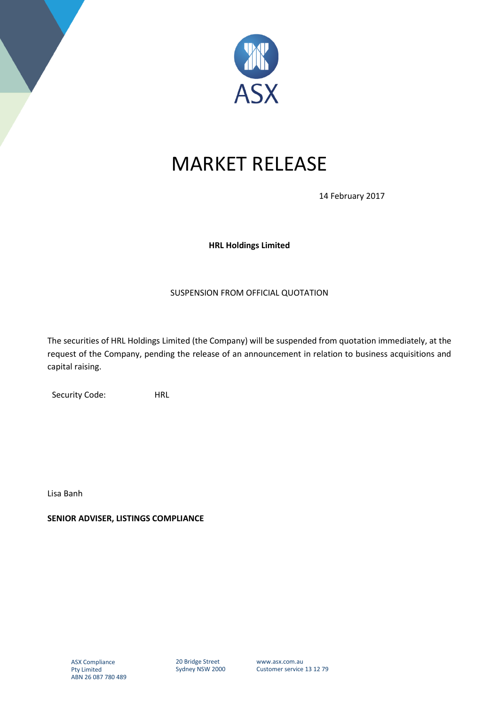

## MARKET RELEASE

14 February 2017

## **HRL Holdings Limited**

## SUSPENSION FROM OFFICIAL QUOTATION

The securities of HRL Holdings Limited (the Company) will be suspended from quotation immediately, at the request of the Company, pending the release of an announcement in relation to business acquisitions and capital raising.

Security Code: HRL

Lisa Banh

**SENIOR ADVISER, LISTINGS COMPLIANCE** 

20 Bridge Street Sydney NSW 2000 www.asx.com.au Customer service 13 12 79